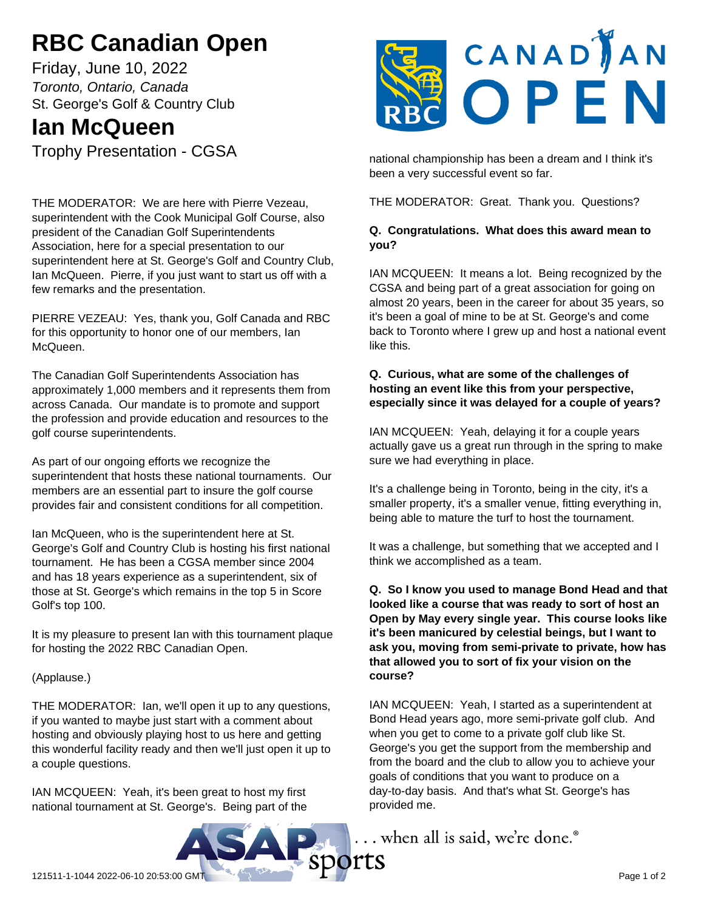# **RBC Canadian Open**

Friday, June 10, 2022 *Toronto, Ontario, Canada* St. George's Golf & Country Club

## **Ian McQueen**

Trophy Presentation - CGSA

THE MODERATOR: We are here with Pierre Vezeau, superintendent with the Cook Municipal Golf Course, also president of the Canadian Golf Superintendents Association, here for a special presentation to our superintendent here at St. George's Golf and Country Club, Ian McQueen. Pierre, if you just want to start us off with a few remarks and the presentation.

PIERRE VEZEAU: Yes, thank you, Golf Canada and RBC for this opportunity to honor one of our members, Ian McQueen.

The Canadian Golf Superintendents Association has approximately 1,000 members and it represents them from across Canada. Our mandate is to promote and support the profession and provide education and resources to the golf course superintendents.

As part of our ongoing efforts we recognize the superintendent that hosts these national tournaments. Our members are an essential part to insure the golf course provides fair and consistent conditions for all competition.

Ian McQueen, who is the superintendent here at St. George's Golf and Country Club is hosting his first national tournament. He has been a CGSA member since 2004 and has 18 years experience as a superintendent, six of those at St. George's which remains in the top 5 in Score Golf's top 100.

It is my pleasure to present Ian with this tournament plaque for hosting the 2022 RBC Canadian Open.

### (Applause.)

THE MODERATOR: Ian, we'll open it up to any questions, if you wanted to maybe just start with a comment about hosting and obviously playing host to us here and getting this wonderful facility ready and then we'll just open it up to a couple questions.

IAN MCQUEEN: Yeah, it's been great to host my first national tournament at St. George's. Being part of the



national championship has been a dream and I think it's been a very successful event so far.

THE MODERATOR: Great. Thank you. Questions?

#### **Q. Congratulations. What does this award mean to you?**

IAN MCQUEEN: It means a lot. Being recognized by the CGSA and being part of a great association for going on almost 20 years, been in the career for about 35 years, so it's been a goal of mine to be at St. George's and come back to Toronto where I grew up and host a national event like this.

#### **Q. Curious, what are some of the challenges of hosting an event like this from your perspective, especially since it was delayed for a couple of years?**

IAN MCQUEEN: Yeah, delaying it for a couple years actually gave us a great run through in the spring to make sure we had everything in place.

It's a challenge being in Toronto, being in the city, it's a smaller property, it's a smaller venue, fitting everything in, being able to mature the turf to host the tournament.

It was a challenge, but something that we accepted and I think we accomplished as a team.

**Q. So I know you used to manage Bond Head and that looked like a course that was ready to sort of host an Open by May every single year. This course looks like it's been manicured by celestial beings, but I want to ask you, moving from semi-private to private, how has that allowed you to sort of fix your vision on the course?**

IAN MCQUEEN: Yeah, I started as a superintendent at Bond Head years ago, more semi-private golf club. And when you get to come to a private golf club like St. George's you get the support from the membership and from the board and the club to allow you to achieve your goals of conditions that you want to produce on a day-to-day basis. And that's what St. George's has provided me.

... when all is said, we're done.